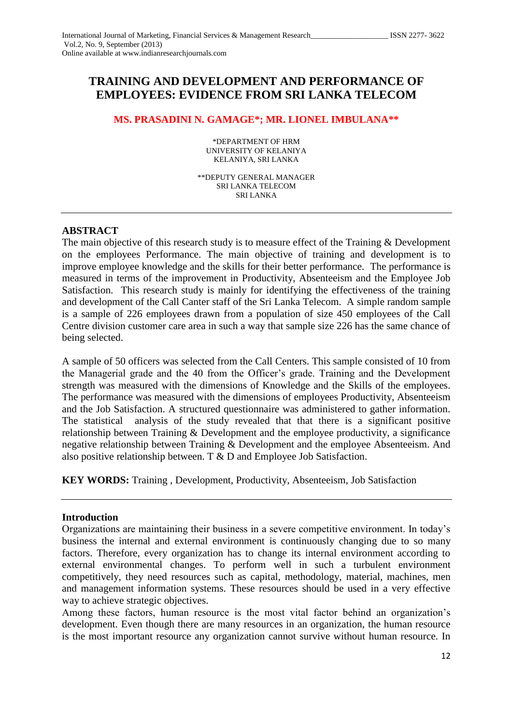# **TRAINING AND DEVELOPMENT AND PERFORMANCE OF EMPLOYEES: EVIDENCE FROM SRI LANKA TELECOM**

# **MS. PRASADINI N. GAMAGE\*; MR. LIONEL IMBULANA\*\***

\*DEPARTMENT OF HRM UNIVERSITY OF KELANIYA KELANIYA, SRI LANKA

\*\*DEPUTY GENERAL MANAGER SRI LANKA TELECOM SRI LANKA

# **ABSTRACT**

The main objective of this research study is to measure effect of the Training & Development on the employees Performance. The main objective of training and development is to improve employee knowledge and the skills for their better performance. The performance is measured in terms of the improvement in Productivity, Absenteeism and the Employee Job Satisfaction. This research study is mainly for identifying the effectiveness of the training and development of the Call Canter staff of the Sri Lanka Telecom. A simple random sample is a sample of 226 employees drawn from a population of size 450 employees of the Call Centre division customer care area in such a way that sample size 226 has the same chance of being selected.

A sample of 50 officers was selected from the Call Centers. This sample consisted of 10 from the Managerial grade and the 40 from the Officer's grade. Training and the Development strength was measured with the dimensions of Knowledge and the Skills of the employees. The performance was measured with the dimensions of employees Productivity, Absenteeism and the Job Satisfaction. A structured questionnaire was administered to gather information. The statistical analysis of the study revealed that that there is a significant positive relationship between Training & Development and the employee productivity, a significance negative relationship between Training & Development and the employee Absenteeism. And also positive relationship between. T & D and Employee Job Satisfaction.

**KEY WORDS:** Training , Development, Productivity, Absenteeism, Job Satisfaction

### **Introduction**

Among these factors, human resource is the most vital factor behind an organization's development. Even though there are many resources in an organization, the human resource is the most important resource any organization cannot survive without human resource. In

Organizations are maintaining their business in a severe competitive environment. In today's business the internal and external environment is continuously changing due to so many factors. Therefore, every organization has to change its internal environment according to external environmental changes. To perform well in such a turbulent environment competitively, they need resources such as capital, methodology, material, machines, men and management information systems. These resources should be used in a very effective way to achieve strategic objectives.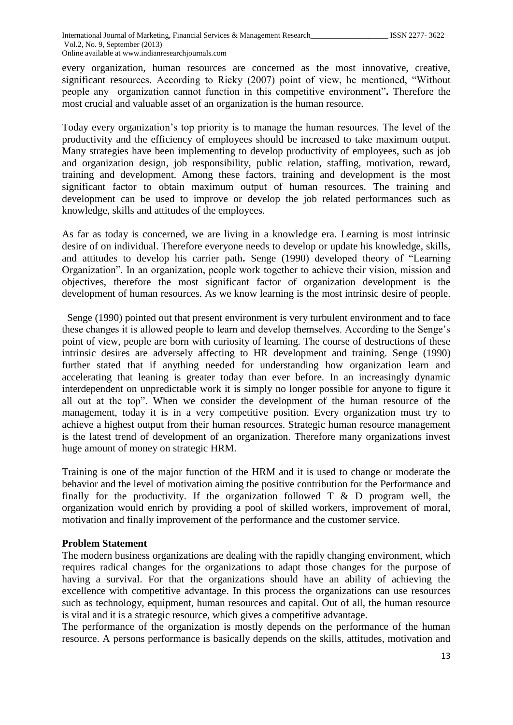every organization, human resources are concerned as the most innovative, creative, significant resources. According to Ricky (2007) point of view, he mentioned, "Without people any organization cannot function in this competitive environment"**.** Therefore the most crucial and valuable asset of an organization is the human resource.

Today every organization's top priority is to manage the human resources. The level of the productivity and the efficiency of employees should be increased to take maximum output. Many strategies have been implementing to develop productivity of employees, such as job and organization design, job responsibility, public relation, staffing, motivation, reward, training and development. Among these factors, training and development is the most significant factor to obtain maximum output of human resources. The training and development can be used to improve or develop the job related performances such as knowledge, skills and attitudes of the employees.

As far as today is concerned, we are living in a knowledge era. Learning is most intrinsic desire of on individual. Therefore everyone needs to develop or update his knowledge, skills, and attitudes to develop his carrier path**.** Senge (1990) developed theory of "Learning Organization". In an organization, people work together to achieve their vision, mission and objectives, therefore the most significant factor of organization development is the development of human resources. As we know learning is the most intrinsic desire of people.

 Senge (1990) pointed out that present environment is very turbulent environment and to face these changes it is allowed people to learn and develop themselves. According to the Senge's point of view, people are born with curiosity of learning. The course of destructions of these intrinsic desires are adversely affecting to HR development and training. Senge (1990) further stated that if anything needed for understanding how organization learn and accelerating that leaning is greater today than ever before. In an increasingly dynamic interdependent on unpredictable work it is simply no longer possible for anyone to figure it all out at the top". When we consider the development of the human resource of the management, today it is in a very competitive position. Every organization must try to achieve a highest output from their human resources. Strategic human resource management is the latest trend of development of an organization. Therefore many organizations invest huge amount of money on strategic HRM.

Training is one of the major function of the HRM and it is used to change or moderate the behavior and the level of motivation aiming the positive contribution for the Performance and finally for the productivity. If the organization followed  $T \& D$  program well, the organization would enrich by providing a pool of skilled workers, improvement of moral, motivation and finally improvement of the performance and the customer service.

### **Problem Statement**

The modern business organizations are dealing with the rapidly changing environment, which requires radical changes for the organizations to adapt those changes for the purpose of having a survival. For that the organizations should have an ability of achieving the excellence with competitive advantage. In this process the organizations can use resources such as technology, equipment, human resources and capital. Out of all, the human resource is vital and it is a strategic resource, which gives a competitive advantage.

The performance of the organization is mostly depends on the performance of the human resource. A persons performance is basically depends on the skills, attitudes, motivation and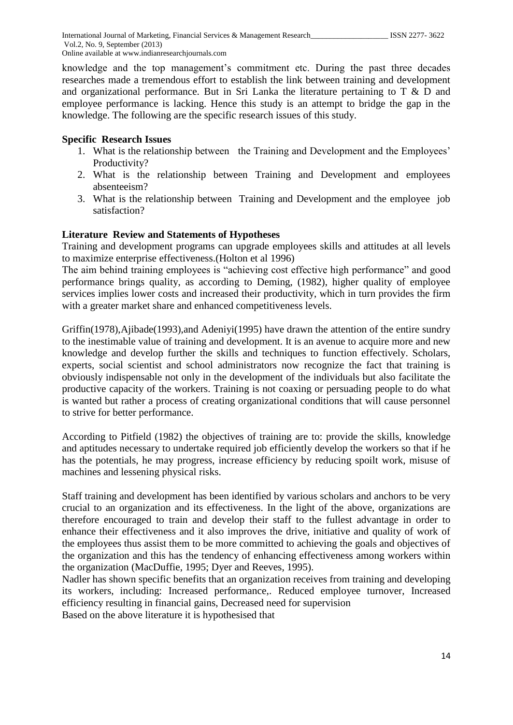knowledge and the top management's commitment etc. During the past three decades researches made a tremendous effort to establish the link between training and development and organizational performance. But in Sri Lanka the literature pertaining to T & D and employee performance is lacking. Hence this study is an attempt to bridge the gap in the knowledge. The following are the specific research issues of this study.

# **Specific Research Issues**

- 1. What is the relationship between the Training and Development and the Employees' Productivity?
- 2. What is the relationship between Training and Development and employees absenteeism?
- 3. What is the relationship between Training and Development and the employee job satisfaction?

# **Literature Review and Statements of Hypotheses**

Training and development programs can upgrade employees skills and attitudes at all levels to maximize enterprise effectiveness.(Holton et al 1996)

The aim behind training employees is "achieving cost effective high performance" and good performance brings quality, as according to Deming, (1982), higher quality of employee services implies lower costs and increased their productivity, which in turn provides the firm with a greater market share and enhanced competitiveness levels.

Griffin(1978),Ajibade(1993),and Adeniyi(1995) have drawn the attention of the entire sundry to the inestimable value of training and development. It is an avenue to acquire more and new knowledge and develop further the skills and techniques to function effectively. Scholars, experts, social scientist and school administrators now recognize the fact that training is obviously indispensable not only in the development of the individuals but also facilitate the productive capacity of the workers. Training is not coaxing or persuading people to do what is wanted but rather a process of creating organizational conditions that will cause personnel to strive for better performance.

According to Pitfield (1982) the objectives of training are to: provide the skills, knowledge and aptitudes necessary to undertake required job efficiently develop the workers so that if he has the potentials, he may progress, increase efficiency by reducing spoilt work, misuse of machines and lessening physical risks.

Staff training and development has been identified by various scholars and anchors to be very crucial to an organization and its effectiveness. In the light of the above, organizations are therefore encouraged to train and develop their staff to the fullest advantage in order to enhance their effectiveness and it also improves the drive, initiative and quality of work of the employees thus assist them to be more committed to achieving the goals and objectives of the organization and this has the tendency of enhancing effectiveness among workers within the organization (MacDuffie, 1995; Dyer and Reeves, 1995).

Nadler has shown specific benefits that an organization receives from training and developing its workers, including: Increased performance,. Reduced employee turnover, Increased efficiency resulting in financial gains, Decreased need for supervision Based on the above literature it is hypothesised that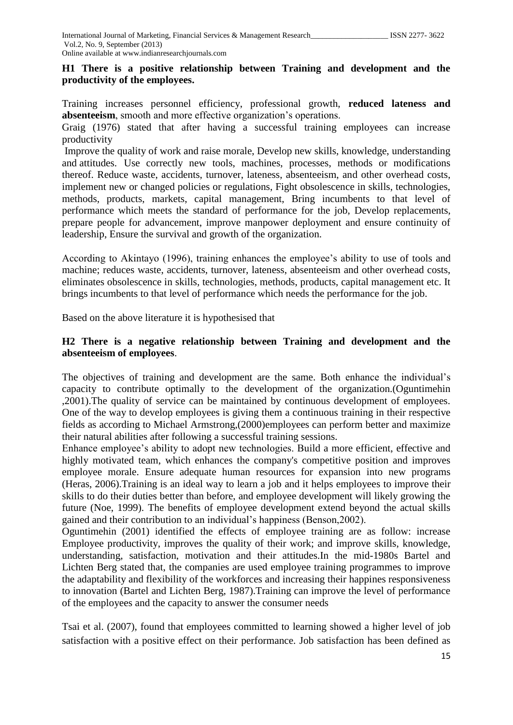# **H1 There is a positive relationship between Training and development and the productivity of the employees.**

Training increases personnel efficiency, professional growth, **reduced lateness and absenteeism**, smooth and more effective organization's operations.

Graig (1976) stated that after having a successful training employees can increase productivity

Improve the quality of work and raise morale, Develop new skills, knowledge, understanding and attitudes. Use correctly new tools, machines, processes, methods or modifications thereof. Reduce waste, accidents, turnover, lateness, absenteeism, and other overhead costs, implement new or changed policies or regulations, Fight obsolescence in skills, technologies, methods, products, markets, capital management, Bring incumbents to that level of performance which meets the standard of performance for the job, Develop replacements, prepare people for advancement, improve manpower deployment and ensure continuity of leadership, Ensure the survival and growth of the organization.

According to Akintayo (1996), training enhances the employee's ability to use of tools and machine; reduces waste, accidents, turnover, lateness, absenteeism and other overhead costs, eliminates obsolescence in skills, technologies, methods, products, capital management etc. It brings incumbents to that level of performance which needs the performance for the job.

Based on the above literature it is hypothesised that

### **H2 There is a negative relationship between Training and development and the absenteeism of employees**.

The objectives of training and development are the same. Both enhance the individual's capacity to contribute optimally to the development of the organization.(Oguntimehin ,2001).The quality of service can be maintained by continuous development of employees. One of the way to develop employees is giving them a continuous training in their respective fields as according to Michael Armstrong,(2000)employees can perform better and maximize their natural abilities after following a successful training sessions.

Enhance employee's ability to adopt new technologies. Build a more efficient, effective and highly motivated team, which enhances the company's competitive position and improves employee morale. Ensure adequate human resources for expansion into new programs (Heras, 2006).Training is an ideal way to learn a job and it helps employees to improve their skills to do their duties better than before, and employee development will likely growing the future (Noe, 1999). The benefits of employee development extend beyond the actual skills gained and their contribution to an individual's happiness (Benson,2002).

Oguntimehin (2001) identified the effects of employee training are as follow: increase Employee productivity, improves the quality of their work; and improve skills, knowledge, understanding, satisfaction, motivation and their attitudes.In the mid-1980s Bartel and Lichten Berg stated that, the companies are used employee training programmes to improve the adaptability and flexibility of the workforces and increasing their happines responsiveness to innovation (Bartel and Lichten Berg, 1987).Training can improve the level of performance of the employees and the capacity to answer the consumer needs

Tsai et al. (2007), found that employees committed to learning showed a higher level of job satisfaction with a positive effect on their performance. Job satisfaction has been defined as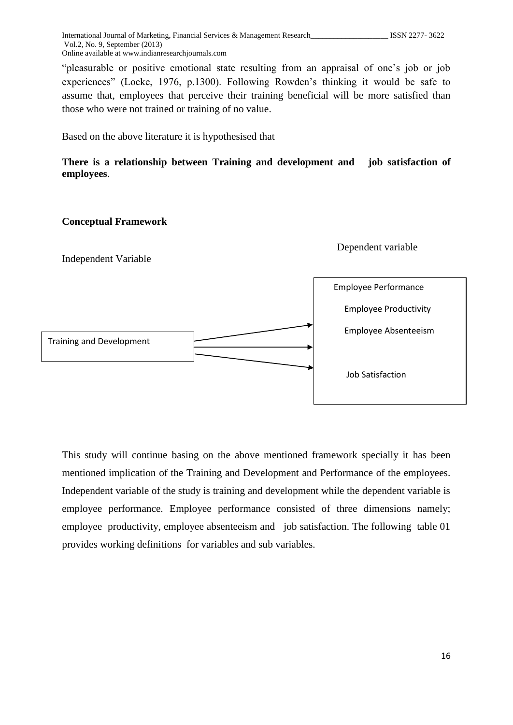"pleasurable or positive emotional state resulting from an appraisal of one's job or job experiences" (Locke, 1976, p.1300). Following Rowden's thinking it would be safe to assume that, employees that perceive their training beneficial will be more satisfied than those who were not trained or training of no value.

Based on the above literature it is hypothesised that

### **There is a relationship between Training and development and job satisfaction of employees**.

#### **Conceptual Framework**

Independent Variable

Dependent variable



This study will continue basing on the above mentioned framework specially it has been mentioned implication of the Training and Development and Performance of the employees. Independent variable of the study is training and development while the dependent variable is employee performance. Employee performance consisted of three dimensions namely; employee productivity, employee absenteeism and job satisfaction. The following table 01 provides working definitions for variables and sub variables.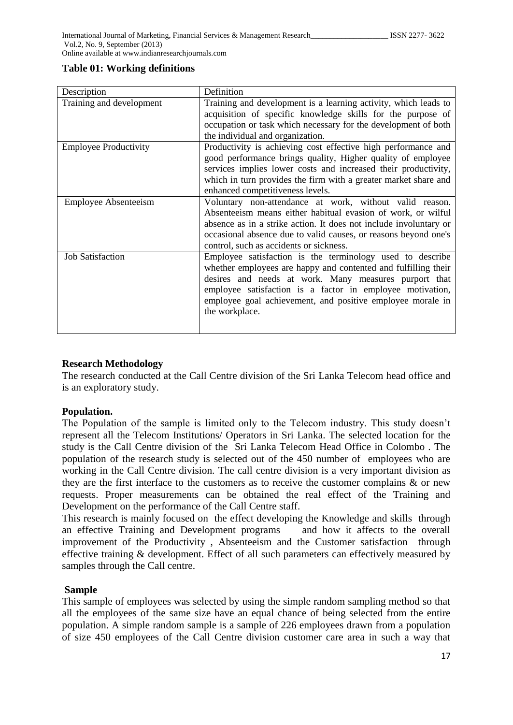#### **Table 01: Working definitions**

| Description                  | Definition                                                        |
|------------------------------|-------------------------------------------------------------------|
| Training and development     | Training and development is a learning activity, which leads to   |
|                              | acquisition of specific knowledge skills for the purpose of       |
|                              | occupation or task which necessary for the development of both    |
|                              | the individual and organization.                                  |
| <b>Employee Productivity</b> | Productivity is achieving cost effective high performance and     |
|                              | good performance brings quality, Higher quality of employee       |
|                              | services implies lower costs and increased their productivity,    |
|                              | which in turn provides the firm with a greater market share and   |
|                              | enhanced competitiveness levels.                                  |
| <b>Employee Absenteeism</b>  | Voluntary non-attendance at work, without valid reason.           |
|                              | Absenteeism means either habitual evasion of work, or wilful      |
|                              | absence as in a strike action. It does not include involuntary or |
|                              | occasional absence due to valid causes, or reasons beyond one's   |
|                              | control, such as accidents or sickness.                           |
| <b>Job Satisfaction</b>      | Employee satisfaction is the terminology used to describe         |
|                              | whether employees are happy and contented and fulfilling their    |
|                              | desires and needs at work. Many measures purport that             |
|                              | employee satisfaction is a factor in employee motivation,         |
|                              | employee goal achievement, and positive employee morale in        |
|                              | the workplace.                                                    |
|                              |                                                                   |
|                              |                                                                   |

### **Research Methodology**

The research conducted at the Call Centre division of the Sri Lanka Telecom head office and is an exploratory study.

### **Population.**

The Population of the sample is limited only to the Telecom industry. This study doesn't represent all the Telecom Institutions/ Operators in Sri Lanka. The selected location for the study is the Call Centre division of the Sri Lanka Telecom Head Office in Colombo . The population of the research study is selected out of the 450 number of employees who are working in the Call Centre division. The call centre division is a very important division as they are the first interface to the customers as to receive the customer complains & or new requests. Proper measurements can be obtained the real effect of the Training and Development on the performance of the Call Centre staff.

This research is mainly focused on the effect developing the Knowledge and skills through an effective Training and Development programs and how it affects to the overall improvement of the Productivity , Absenteeism and the Customer satisfaction through effective training & development. Effect of all such parameters can effectively measured by samples through the Call centre.

### **Sample**

This sample of employees was selected by using the simple random sampling method so that all the employees of the same size have an equal chance of being selected from the entire population. A simple random sample is a sample of 226 employees drawn from a population of size 450 employees of the Call Centre division customer care area in such a way that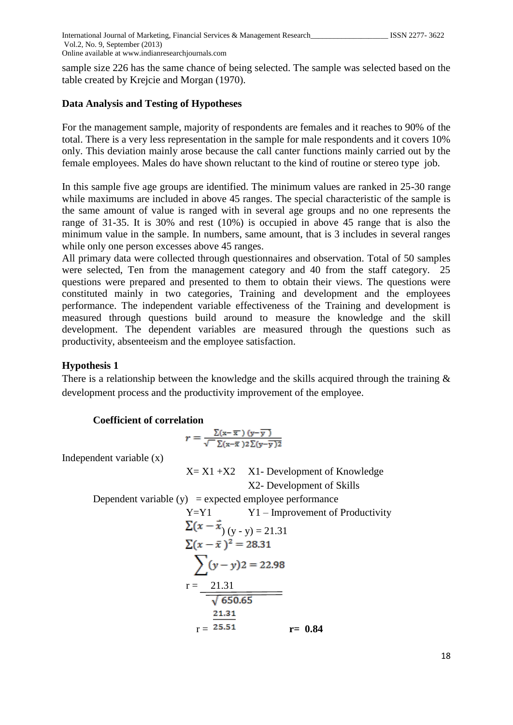sample size 226 has the same chance of being selected. The sample was selected based on the table created by Krejcie and Morgan (1970).

#### **Data Analysis and Testing of Hypotheses**

For the management sample, majority of respondents are females and it reaches to 90% of the total. There is a very less representation in the sample for male respondents and it covers 10% only. This deviation mainly arose because the call canter functions mainly carried out by the female employees. Males do have shown reluctant to the kind of routine or stereo type job.

In this sample five age groups are identified. The minimum values are ranked in 25-30 range while maximums are included in above 45 ranges. The special characteristic of the sample is the same amount of value is ranged with in several age groups and no one represents the range of 31-35. It is 30% and rest (10%) is occupied in above 45 range that is also the minimum value in the sample. In numbers, same amount, that is 3 includes in several ranges while only one person excesses above 45 ranges.

All primary data were collected through questionnaires and observation. Total of 50 samples were selected, Ten from the management category and 40 from the staff category. 25 questions were prepared and presented to them to obtain their views. The questions were constituted mainly in two categories, Training and development and the employees performance. The independent variable effectiveness of the Training and development is measured through questions build around to measure the knowledge and the skill development. The dependent variables are measured through the questions such as productivity, absenteeism and the employee satisfaction.

#### **Hypothesis 1**

There is a relationship between the knowledge and the skills acquired through the training  $\&$ development process and the productivity improvement of the employee.

#### **Coefficient of correlation**

$$
r = \frac{\sum (x - \overline{x}')(y - \overline{y})}{\sqrt{-\sum (x - \overline{x})2\sum (y - \overline{y})2}}
$$

Independent variable (x)

 $X= X1 + X2$  X1- Development of Knowledge X2- Development of Skills

Dependent variable  $(y)$  = expected employee performance

Y=Y1 Y1-Improvement of Productivity  
\n
$$
\Sigma(x - \vec{x}) (y - y) = 21.31
$$
\n
$$
\Sigma(x - \vec{x})^2 = 28.31
$$
\n
$$
\Sigma(y - y) = 22.98
$$
\n
$$
r = \frac{21.31}{\sqrt{650.65}}
$$
\n
$$
r = \frac{21.31}{25.51}
$$
\n
$$
r = 0.84
$$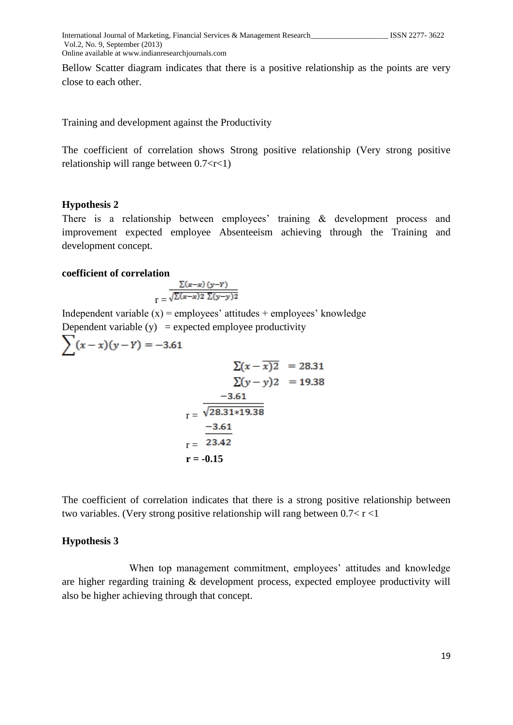Bellow Scatter diagram indicates that there is a positive relationship as the points are very close to each other.

Training and development against the Productivity

The coefficient of correlation shows Strong positive relationship (Very strong positive relationship will range between  $0.7 < r < 1$ )

#### **Hypothesis 2**

There is a relationship between employees' training & development process and improvement expected employee Absenteeism achieving through the Training and development concept.

#### **coefficient of correlation**

$$
r = \frac{\sum (x-x) (y-Y)}{\sqrt{\sum (x-x) 2 \sum (y-y) 2}}
$$

Independent variable  $(x)$  = employees' attitudes + employees' knowledge Dependent variable  $(y)$  = expected employee productivity

$$
\sum (x - x)(y - Y) = -3.61
$$
  

$$
\sum (x - \overline{x}) \overline{2} = 28.31
$$
  

$$
\sum (y - y) \overline{2} = 19.38
$$
  

$$
r = \frac{-3.61}{\sqrt{28.31 \times 19.38}}
$$
  

$$
r = \frac{-3.61}{23.42}
$$
  

$$
r = -0.15
$$

The coefficient of correlation indicates that there is a strong positive relationship between two variables. (Very strong positive relationship will rang between  $0.7 < r < 1$ 

#### **Hypothesis 3**

 When top management commitment, employees' attitudes and knowledge are higher regarding training & development process, expected employee productivity will also be higher achieving through that concept.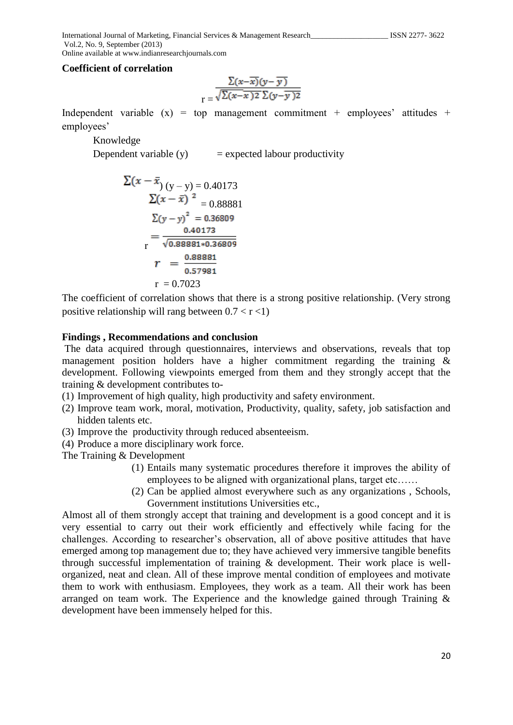International Journal of Marketing, Financial Services & Management Research\_\_\_\_\_\_\_\_\_\_\_\_\_\_\_\_\_\_\_\_ ISSN 2277- 3622 Vol.2, No. 9, September (2013)

Online available at www.indianresearchjournals.com

#### **Coefficient of correlation**

$$
r = \frac{\sum (x - \overline{x})(y - \overline{y})}{\sqrt{\sum (x - \overline{x})^2 \sum (y - \overline{y})^2}}
$$

Independent variable  $(x)$  = top management commitment + employees' attitudes + employees'

Knowledge

Dependent variable  $(y)$  = expected labour productivity

$$
\Sigma(x - \bar{x}) (y - y) = 0.40173
$$
  
\n
$$
\Sigma(x - \bar{x})^2 = 0.888881
$$
  
\n
$$
\Sigma(y - y)^2 = 0.36809
$$
  
\n
$$
= \frac{0.40173}{\sqrt{0.888881 * 0.36809}}
$$
  
\n
$$
r = \frac{0.88881}{0.57981}
$$
  
\n
$$
r = 0.7023
$$

The coefficient of correlation shows that there is a strong positive relationship. (Very strong positive relationship will rang between  $0.7 < r < 1$ )

#### **Findings , Recommendations and conclusion**

The data acquired through questionnaires, interviews and observations, reveals that top management position holders have a higher commitment regarding the training & development. Following viewpoints emerged from them and they strongly accept that the training & development contributes to-

- (1) Improvement of high quality, high productivity and safety environment.
- (2) Improve team work, moral, motivation, Productivity, quality, safety, job satisfaction and hidden talents etc.
- (3) Improve the productivity through reduced absenteeism.
- (4) Produce a more disciplinary work force.

The Training & Development

- (1) Entails many systematic procedures therefore it improves the ability of employees to be aligned with organizational plans, target etc……
- (2) Can be applied almost everywhere such as any organizations , Schools, Government institutions Universities etc.,

Almost all of them strongly accept that training and development is a good concept and it is very essential to carry out their work efficiently and effectively while facing for the challenges. According to researcher's observation, all of above positive attitudes that have emerged among top management due to; they have achieved very immersive tangible benefits through successful implementation of training & development. Their work place is wellorganized, neat and clean. All of these improve mental condition of employees and motivate them to work with enthusiasm. Employees, they work as a team. All their work has been arranged on team work. The Experience and the knowledge gained through Training & development have been immensely helped for this.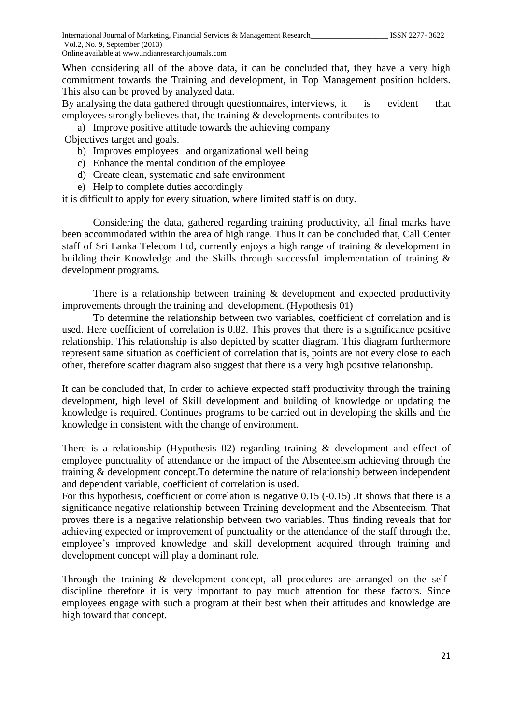When considering all of the above data, it can be concluded that, they have a very high commitment towards the Training and development, in Top Management position holders. This also can be proved by analyzed data.

By analysing the data gathered through questionnaires, interviews, it is evident that employees strongly believes that, the training & developments contributes to

a) Improve positive attitude towards the achieving company Objectives target and goals.

- b) Improves employees and organizational well being
- c) Enhance the mental condition of the employee
- d) Create clean, systematic and safe environment
- e) Help to complete duties accordingly

it is difficult to apply for every situation, where limited staff is on duty.

Considering the data, gathered regarding training productivity, all final marks have been accommodated within the area of high range. Thus it can be concluded that, Call Center staff of Sri Lanka Telecom Ltd, currently enjoys a high range of training & development in building their Knowledge and the Skills through successful implementation of training & development programs.

There is a relationship between training & development and expected productivity improvements through the training and development. (Hypothesis 01)

To determine the relationship between two variables, coefficient of correlation and is used. Here coefficient of correlation is 0.82. This proves that there is a significance positive relationship. This relationship is also depicted by scatter diagram. This diagram furthermore represent same situation as coefficient of correlation that is, points are not every close to each other, therefore scatter diagram also suggest that there is a very high positive relationship.

It can be concluded that, In order to achieve expected staff productivity through the training development, high level of Skill development and building of knowledge or updating the knowledge is required. Continues programs to be carried out in developing the skills and the knowledge in consistent with the change of environment.

There is a relationship (Hypothesis 02) regarding training & development and effect of employee punctuality of attendance or the impact of the Absenteeism achieving through the training & development concept.To determine the nature of relationship between independent and dependent variable, coefficient of correlation is used.

For this hypothesis, coefficient or correlation is negative 0.15 (-0.15) .It shows that there is a significance negative relationship between Training development and the Absenteeism. That proves there is a negative relationship between two variables. Thus finding reveals that for achieving expected or improvement of punctuality or the attendance of the staff through the, employee's improved knowledge and skill development acquired through training and development concept will play a dominant role.

Through the training & development concept, all procedures are arranged on the selfdiscipline therefore it is very important to pay much attention for these factors. Since employees engage with such a program at their best when their attitudes and knowledge are high toward that concept.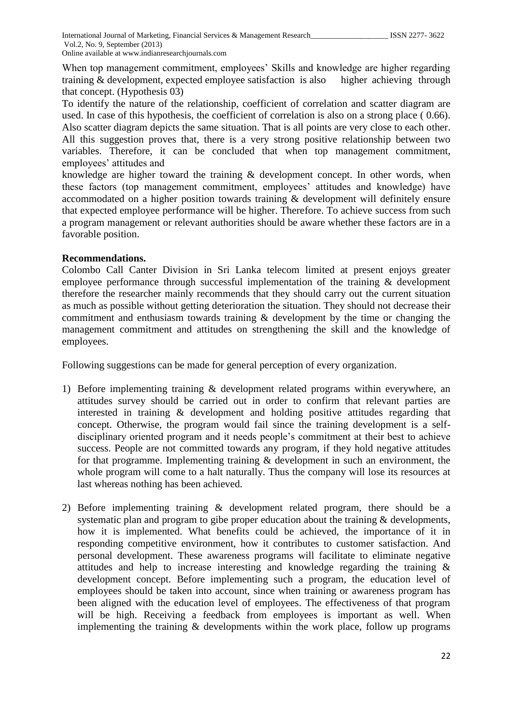When top management commitment, employees' Skills and knowledge are higher regarding training & development, expected employee satisfaction is also higher achieving through that concept. (Hypothesis 03)

To identify the nature of the relationship, coefficient of correlation and scatter diagram are used. In case of this hypothesis, the coefficient of correlation is also on a strong place ( 0.66). Also scatter diagram depicts the same situation. That is all points are very close to each other. All this suggestion proves that, there is a very strong positive relationship between two variables. Therefore, it can be concluded that when top management commitment, employees' attitudes and

knowledge are higher toward the training & development concept. In other words, when these factors (top management commitment, employees' attitudes and knowledge) have accommodated on a higher position towards training & development will definitely ensure that expected employee performance will be higher. Therefore. To achieve success from such a program management or relevant authorities should be aware whether these factors are in a favorable position.

# **Recommendations.**

Colombo Call Canter Division in Sri Lanka telecom limited at present enjoys greater employee performance through successful implementation of the training & development therefore the researcher mainly recommends that they should carry out the current situation as much as possible without getting deterioration the situation. They should not decrease their commitment and enthusiasm towards training & development by the time or changing the management commitment and attitudes on strengthening the skill and the knowledge of employees.

Following suggestions can be made for general perception of every organization.

- 1) Before implementing training & development related programs within everywhere, an attitudes survey should be carried out in order to confirm that relevant parties are interested in training & development and holding positive attitudes regarding that concept. Otherwise, the program would fail since the training development is a selfdisciplinary oriented program and it needs people's commitment at their best to achieve success. People are not committed towards any program, if they hold negative attitudes for that programme. Implementing training & development in such an environment, the whole program will come to a halt naturally. Thus the company will lose its resources at last whereas nothing has been achieved.
- 2) Before implementing training & development related program, there should be a systematic plan and program to gibe proper education about the training & developments, how it is implemented. What benefits could be achieved, the importance of it in responding competitive environment, how it contributes to customer satisfaction. And personal development. These awareness programs will facilitate to eliminate negative attitudes and help to increase interesting and knowledge regarding the training & development concept. Before implementing such a program, the education level of employees should be taken into account, since when training or awareness program has been aligned with the education level of employees. The effectiveness of that program will be high. Receiving a feedback from employees is important as well. When implementing the training & developments within the work place, follow up programs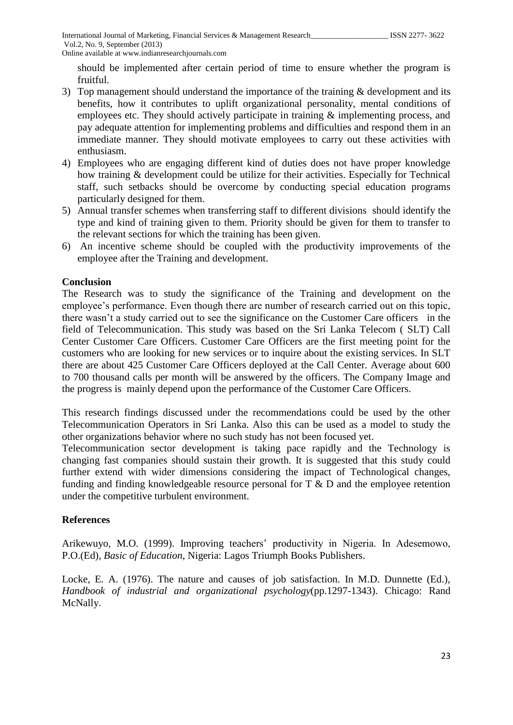should be implemented after certain period of time to ensure whether the program is fruitful.

- 3) Top management should understand the importance of the training  $&$  development and its benefits, how it contributes to uplift organizational personality, mental conditions of employees etc. They should actively participate in training  $\&$  implementing process, and pay adequate attention for implementing problems and difficulties and respond them in an immediate manner. They should motivate employees to carry out these activities with enthusiasm.
- 4) Employees who are engaging different kind of duties does not have proper knowledge how training & development could be utilize for their activities. Especially for Technical staff, such setbacks should be overcome by conducting special education programs particularly designed for them.
- 5) Annual transfer schemes when transferring staff to different divisions should identify the type and kind of training given to them. Priority should be given for them to transfer to the relevant sections for which the training has been given.
- 6) An incentive scheme should be coupled with the productivity improvements of the employee after the Training and development.

### **Conclusion**

The Research was to study the significance of the Training and development on the employee's performance. Even though there are number of research carried out on this topic, there wasn't a study carried out to see the significance on the Customer Care officers in the field of Telecommunication. This study was based on the Sri Lanka Telecom ( SLT) Call Center Customer Care Officers. Customer Care Officers are the first meeting point for the customers who are looking for new services or to inquire about the existing services. In SLT there are about 425 Customer Care Officers deployed at the Call Center. Average about 600 to 700 thousand calls per month will be answered by the officers. The Company Image and the progress is mainly depend upon the performance of the Customer Care Officers.

This research findings discussed under the recommendations could be used by the other Telecommunication Operators in Sri Lanka. Also this can be used as a model to study the other organizations behavior where no such study has not been focused yet.

Telecommunication sector development is taking pace rapidly and the Technology is changing fast companies should sustain their growth. It is suggested that this study could further extend with wider dimensions considering the impact of Technological changes, funding and finding knowledgeable resource personal for T & D and the employee retention under the competitive turbulent environment.

# **References**

Arikewuyo, M.O. (1999). Improving teachers' productivity in Nigeria. In Adesemowo, P.O.(Ed), *Basic of Education*, Nigeria: Lagos Triumph Books Publishers.

Locke, E. A. (1976). The nature and causes of job satisfaction. In M.D. Dunnette (Ed.), *Handbook of industrial and organizational psychology*(pp.1297-1343). Chicago: Rand McNally.